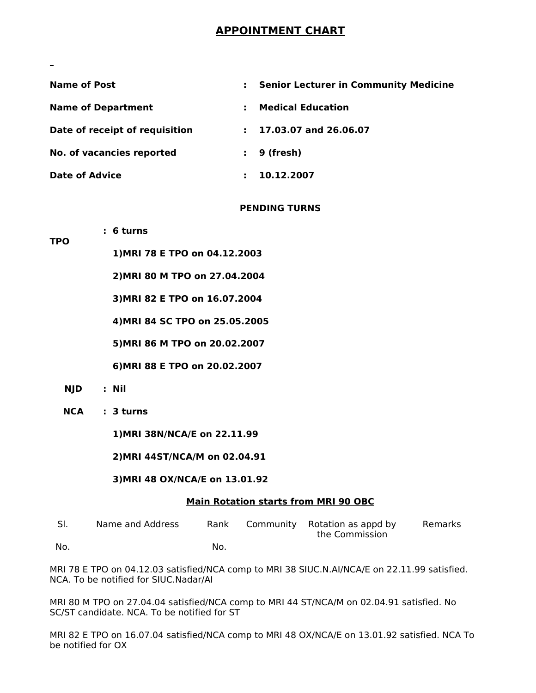# **APPOINTMENT CHART**

| <b>Name of Post</b>            | <b>Senior Lecturer in Community Medicine</b> |
|--------------------------------|----------------------------------------------|
| <b>Name of Department</b>      | <b>Medical Education</b>                     |
| Date of receipt of requisition | 17.03.07 and 26.06.07                        |
| No. of vacancies reported      | 9 (fresh)                                    |
| <b>Date of Advice</b>          | 10.12.2007                                   |

#### **PENDING TURNS**

**1)MRI 78 E TPO on 04.12.2003**

**2)MRI 80 M TPO on 27.04.2004**

**3)MRI 82 E TPO on 16.07.2004**

**4)MRI 84 SC TPO on 25.05.2005**

**5)MRI 86 M TPO on 20.02.2007**

**6)MRI 88 E TPO on 20.02.2007**

- **NJD : Nil**
- **NCA : 3 turns**

**: 6 turns**

**1)MRI 38N/NCA/E on 22.11.99**

**2)MRI 44ST/NCA/M on 02.04.91**

#### **3)MRI 48 OX/NCA/E on 13.01.92**

#### **Main Rotation starts from MRI 90 OBC**

| -SI. | Name and Address | Rank | Community Rotation as appd by<br>the Commission | Remarks |
|------|------------------|------|-------------------------------------------------|---------|
| No.  |                  | No.  |                                                 |         |

MRI 78 E TPO on 04.12.03 satisfied/NCA comp to MRI 38 SIUC.N.AI/NCA/E on 22.11.99 satisfied. NCA. To be notified for SIUC.Nadar/AI

MRI 80 M TPO on 27.04.04 satisfied/NCA comp to MRI 44 ST/NCA/M on 02.04.91 satisfied. No SC/ST candidate. NCA. To be notified for ST

MRI 82 E TPO on 16.07.04 satisfied/NCA comp to MRI 48 OX/NCA/E on 13.01.92 satisfied. NCA To be notified for OX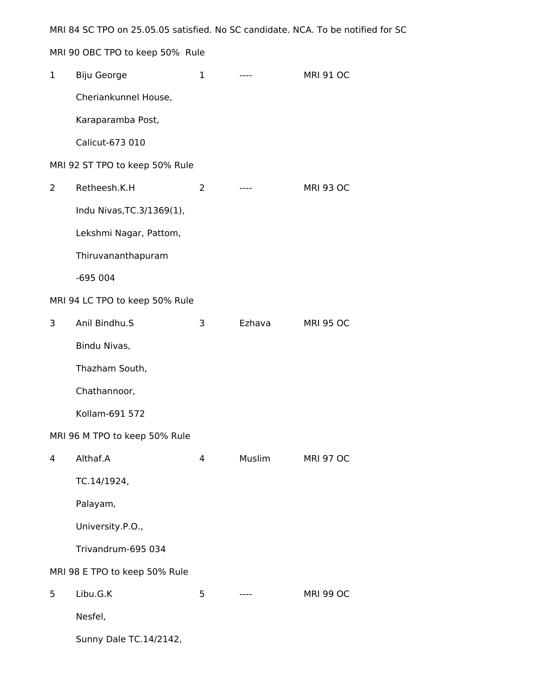MRI 84 SC TPO on 25.05.05 satisfied. No SC candidate. NCA. To be notified for SC

MRI 90 OBC TPO to keep 50% Rule

| $\mathbf 1$ | Biju George                    | 1                  | $---$  | <b>MRI 91 OC</b> |
|-------------|--------------------------------|--------------------|--------|------------------|
|             | Cheriankunnel House,           |                    |        |                  |
|             | Karaparamba Post,              |                    |        |                  |
|             | Calicut-673 010                |                    |        |                  |
|             | MRI 92 ST TPO to keep 50% Rule |                    |        |                  |
| 2           | Retheesh.K.H                   | 2                  | $---$  | <b>MRI 93 OC</b> |
|             | Indu Nivas, TC. 3/1369(1),     |                    |        |                  |
|             | Lekshmi Nagar, Pattom,         |                    |        |                  |
|             | Thiruvananthapuram             |                    |        |                  |
|             | $-695004$                      |                    |        |                  |
|             | MRI 94 LC TPO to keep 50% Rule |                    |        |                  |
| 3           | Anil Bindhu.S                  | 3                  | Ezhava | <b>MRI 95 OC</b> |
|             | Bindu Nivas,                   |                    |        |                  |
|             | Thazham South,                 |                    |        |                  |
|             | Chathannoor,                   |                    |        |                  |
|             | Kollam-691 572                 |                    |        |                  |
|             | MRI 96 M TPO to keep 50% Rule  |                    |        |                  |
|             | 4 Althaf.A                     | $\mathbf{\Lambda}$ | Muslim | <b>MRI 97 OC</b> |
|             | TC.14/1924,                    |                    |        |                  |
|             | Palayam,                       |                    |        |                  |
|             | University.P.O.,               |                    |        |                  |
|             | Trivandrum-695 034             |                    |        |                  |
|             | MRI 98 E TPO to keep 50% Rule  |                    |        |                  |
| 5           | Libu.G.K                       | 5                  | $---$  | <b>MRI 99 OC</b> |
|             | Nesfel,                        |                    |        |                  |
|             | Sunny Dale TC.14/2142,         |                    |        |                  |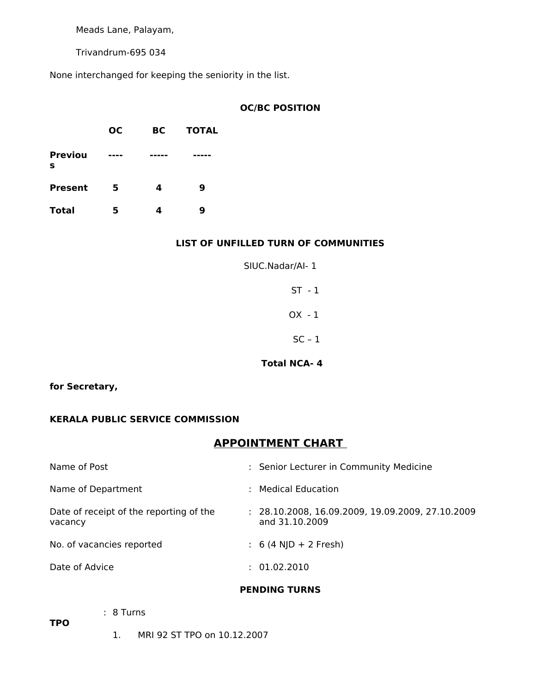Meads Lane, Palayam,

Trivandrum-695 034

None interchanged for keeping the seniority in the list.

# **OC/BC POSITION**

|                     | <b>OC</b> | BC | <b>TOTAL</b> |
|---------------------|-----------|----|--------------|
| <b>Previou</b><br>s | ----      |    |              |
| <b>Present</b>      | 5         | 4  | 9            |
| <b>Total</b>        | 5         |    | 9            |

# **LIST OF UNFILLED TURN OF COMMUNITIES**

| SIUC.Nadar/Al-1 |  |
|-----------------|--|
| $ST - 1$        |  |
| $OX - 1$        |  |
| $SC - 1$        |  |

#### **Total NCA- 4**

# **for Secretary,**

# **KERALA PUBLIC SERVICE COMMISSION**

# **APPOINTMENT CHART**

| Name of Post                                       | : Senior Lecturer in Community Medicine                              |
|----------------------------------------------------|----------------------------------------------------------------------|
| Name of Department                                 | Medical Education                                                    |
| Date of receipt of the reporting of the<br>vacancy | $: 28.10.2008, 16.09.2009, 19.09.2009, 27.10.2009$<br>and 31.10.2009 |
| No. of vacancies reported                          | $: 6(4 \text{ N}D + 2 \text{ Fresh})$                                |
| Date of Advice                                     | : 01.02.2010                                                         |
|                                                    |                                                                      |

#### **PENDING TURNS**

**TPO**

- : 8 Turns
	- 1. MRI 92 ST TPO on 10.12.2007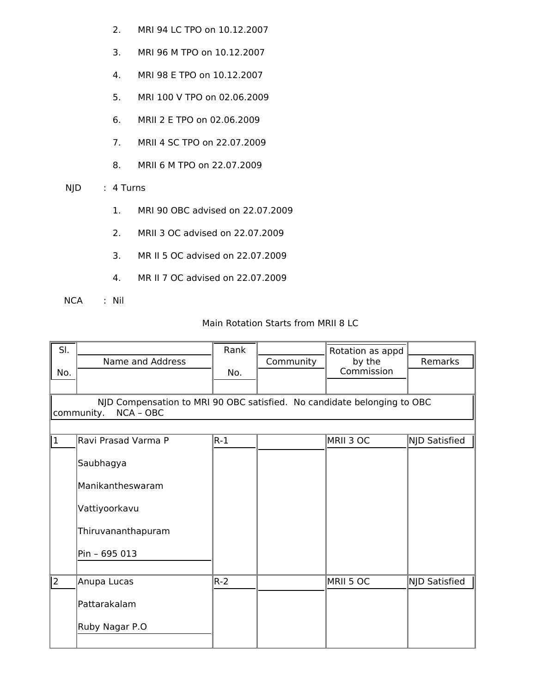- 2. MRI 94 LC TPO on 10.12.2007
- 3. MRI 96 M TPO on 10.12.2007
- 4. MRI 98 E TPO on 10.12.2007
- 5. MRI 100 V TPO on 02.06.2009
- 6. MRII 2 E TPO on 02.06.2009
- 7. MRII 4 SC TPO on 22.07.2009
- 8. MRII 6 M TPO on 22.07.2009
- NJD : 4 Turns
	- 1. MRI 90 OBC advised on 22.07.2009
	- 2. MRII 3 OC advised on 22.07.2009
	- 3. MR II 5 OC advised on 22.07.2009
	- 4. MR II 7 OC advised on 22.07.2009
- NCA : Nil

# Main Rotation Starts from MRII 8 LC

| SI.<br>No.     | Name and Address                                                                                   | Rank<br>No. | Community | Rotation as appd<br>by the<br>Commission | Remarks       |
|----------------|----------------------------------------------------------------------------------------------------|-------------|-----------|------------------------------------------|---------------|
|                | NJD Compensation to MRI 90 OBC satisfied. No candidate belonging to OBC<br>community.<br>NCA - OBC |             |           |                                          |               |
| $\overline{1}$ | Ravi Prasad Varma P                                                                                | $ R-1 $     |           | MRII 3 OC                                | NJD Satisfied |
|                | Saubhagya                                                                                          |             |           |                                          |               |
|                | Manikantheswaram                                                                                   |             |           |                                          |               |
|                | Vattiyoorkavu                                                                                      |             |           |                                          |               |
|                | Thiruvananthapuram                                                                                 |             |           |                                          |               |
|                | Pin - 695 013                                                                                      |             |           |                                          |               |
| $\overline{2}$ | Anupa Lucas                                                                                        | $R-2$       |           | MRII 5 OC                                | NJD Satisfied |
|                | Pattarakalam                                                                                       |             |           |                                          |               |
|                | Ruby Nagar P.O                                                                                     |             |           |                                          |               |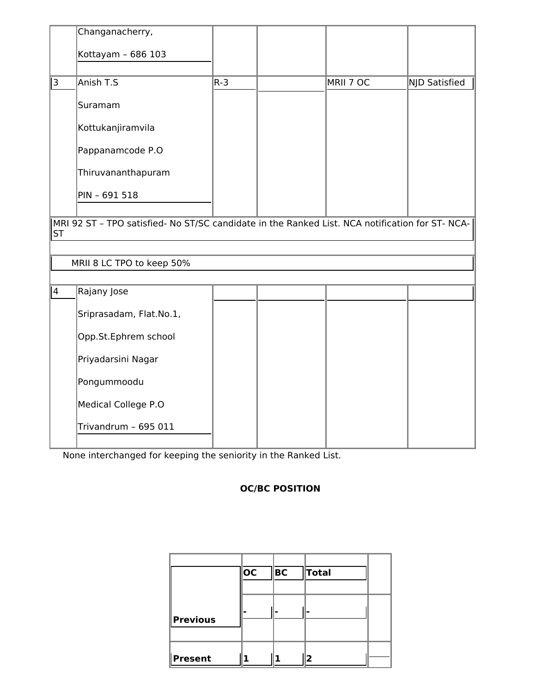|                | Changanacherry,                                                                                 |         |           |               |
|----------------|-------------------------------------------------------------------------------------------------|---------|-----------|---------------|
|                | Kottayam - 686 103                                                                              |         |           |               |
| 3              | Anish T.S                                                                                       | $R - 3$ | MRII 7 OC | NJD Satisfied |
|                |                                                                                                 |         |           |               |
|                | Suramam                                                                                         |         |           |               |
|                | Kottukanjiramvila                                                                               |         |           |               |
|                | Pappanamcode P.O                                                                                |         |           |               |
|                | Thiruvananthapuram                                                                              |         |           |               |
|                | PIN - 691 518                                                                                   |         |           |               |
|                |                                                                                                 |         |           |               |
| <b>ST</b>      | MRI 92 ST - TPO satisfied- No ST/SC candidate in the Ranked List. NCA notification for ST- NCA- |         |           |               |
|                |                                                                                                 |         |           |               |
|                | MRII 8 LC TPO to keep 50%                                                                       |         |           |               |
|                |                                                                                                 |         |           |               |
| $\overline{4}$ | Rajany Jose                                                                                     |         |           |               |
|                | Sriprasadam, Flat.No.1,                                                                         |         |           |               |
|                | Opp.St.Ephrem school                                                                            |         |           |               |
|                | Priyadarsini Nagar                                                                              |         |           |               |
|                | Pongummoodu                                                                                     |         |           |               |
|                | Medical College P.O                                                                             |         |           |               |
|                | Trivandrum - 695 011                                                                            |         |           |               |
|                |                                                                                                 |         |           |               |

None interchanged for keeping the seniority in the Ranked List.

# **OC/BC POSITION**

|                 | OC | BC | <b>Total</b> |  |
|-----------------|----|----|--------------|--|
| <b>Previous</b> |    |    |              |  |
| <b>Present</b>  |    |    | 12           |  |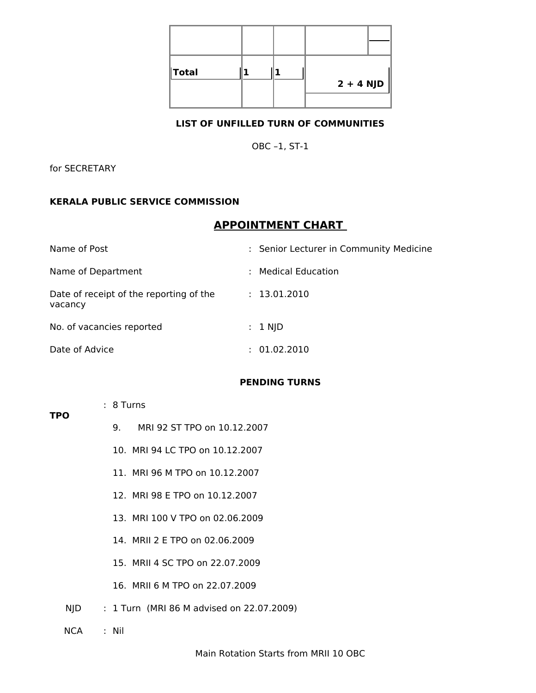| <b>Total</b> |  | $2 + 4$ NJD |
|--------------|--|-------------|

#### **LIST OF UNFILLED TURN OF COMMUNITIES**

OBC –1, ST-1

for SECRETARY

# **KERALA PUBLIC SERVICE COMMISSION**

# **APPOINTMENT CHART**

| Name of Post                                       | : Senior Lecturer in Community Medicine |
|----------------------------------------------------|-----------------------------------------|
| Name of Department                                 | : Medical Education                     |
| Date of receipt of the reporting of the<br>vacancy | : 13.01.2010                            |
| No. of vacancies reported                          | $: 1$ NJD                               |
| Date of Advice                                     | : 01.02.2010                            |

#### **PENDING TURNS**

- : 8 Turns
	- 9. MRI 92 ST TPO on 10.12.2007
	- 10. MRI 94 LC TPO on 10.12.2007
	- 11. MRI 96 M TPO on 10.12.2007
	- 12. MRI 98 E TPO on 10.12.2007
	- 13. MRI 100 V TPO on 02.06.2009
	- 14. MRII 2 E TPO on 02.06.2009
	- 15. MRII 4 SC TPO on 22.07.2009
	- 16. MRII 6 M TPO on 22.07.2009
- NJD : 1 Turn (MRI 86 M advised on 22.07.2009)
- NCA : Nil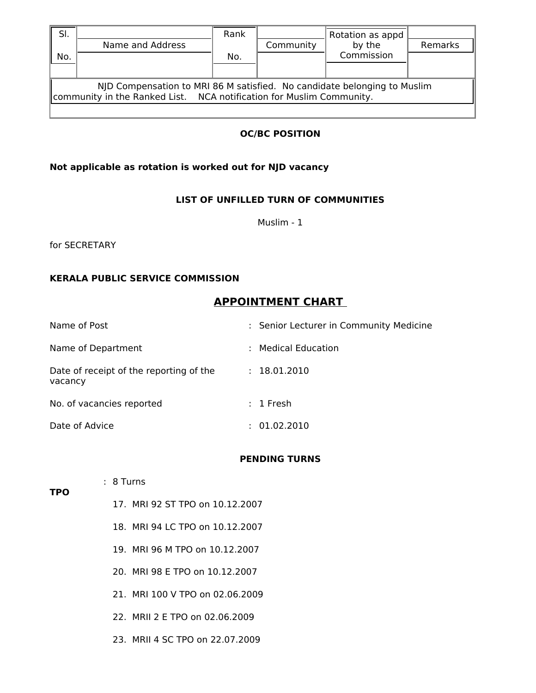| SI. |                                                                                                                                                  | Rank |           | Rotation as appd |         |
|-----|--------------------------------------------------------------------------------------------------------------------------------------------------|------|-----------|------------------|---------|
|     | Name and Address                                                                                                                                 |      | Community | by the           | Remarks |
| No. |                                                                                                                                                  | No.  |           | Commission       |         |
|     |                                                                                                                                                  |      |           |                  |         |
|     | NJD Compensation to MRI 86 M satisfied. No candidate belonging to Muslim<br>Community in the Ranked List. NCA notification for Muslim Community. |      |           |                  |         |
|     |                                                                                                                                                  |      |           |                  |         |

# **OC/BC POSITION**

# **Not applicable as rotation is worked out for NJD vacancy**

# **LIST OF UNFILLED TURN OF COMMUNITIES**

Muslim - 1

for SECRETARY

#### **KERALA PUBLIC SERVICE COMMISSION**

# **APPOINTMENT CHART**

| Name of Post                                       | : Senior Lecturer in Community Medicine |
|----------------------------------------------------|-----------------------------------------|
| Name of Department                                 | : Medical Education                     |
| Date of receipt of the reporting of the<br>vacancy | : 18.01.2010                            |
| No. of vacancies reported                          | $: 1$ Fresh                             |
| Date of Advice                                     | 01.02.2010                              |

# **PENDING TURNS**

**TPO**

- : 8 Turns
	- 17. MRI 92 ST TPO on 10.12.2007
	- 18. MRI 94 LC TPO on 10.12.2007
	- 19. MRI 96 M TPO on 10.12.2007
	- 20. MRI 98 E TPO on 10.12.2007
	- 21. MRI 100 V TPO on 02.06.2009
	- 22. MRII 2 E TPO on 02.06.2009
	- 23. MRII 4 SC TPO on 22.07.2009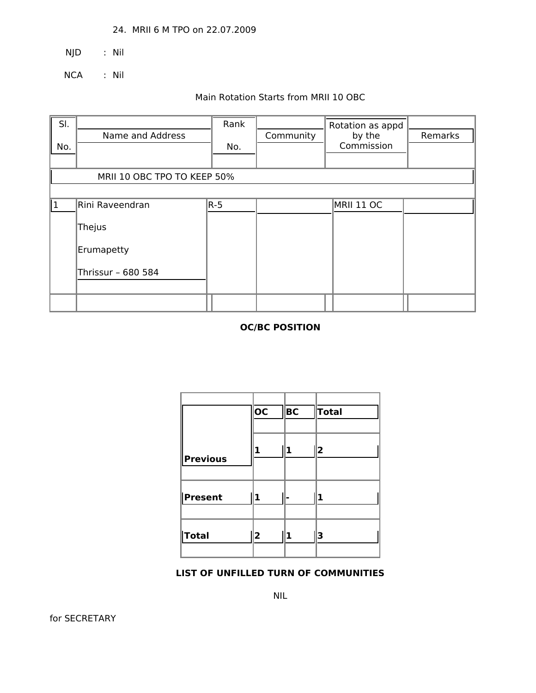24. MRII 6 M TPO on 22.07.2009

NJD : Nil

NCA : Nil

# Main Rotation Starts from MRII 10 OBC

| SI.<br>No. | Name and Address            | Rank<br>No. | Community | Rotation as appd<br>by the<br>Commission | Remarks |
|------------|-----------------------------|-------------|-----------|------------------------------------------|---------|
|            | MRII 10 OBC TPO TO KEEP 50% |             |           |                                          |         |
| 1          | Rini Raveendran             | $R-5$       |           | MRII 11 OC                               |         |
|            | Thejus                      |             |           |                                          |         |
|            | Erumapetty                  |             |           |                                          |         |
|            | Thrissur - 680 584          |             |           |                                          |         |
|            |                             |             |           |                                          |         |

# **OC/BC POSITION**

|            | <b>OC</b>               | BC | <b>Total</b>            |
|------------|-------------------------|----|-------------------------|
| Previous   | 1                       | 1  | $\overline{\mathbf{2}}$ |
| Present    | 1                       |    | 1                       |
| $\ $ Total | $\overline{\mathbf{2}}$ | 1  | 3                       |

#### **LIST OF UNFILLED TURN OF COMMUNITIES**

NIL

for SECRETARY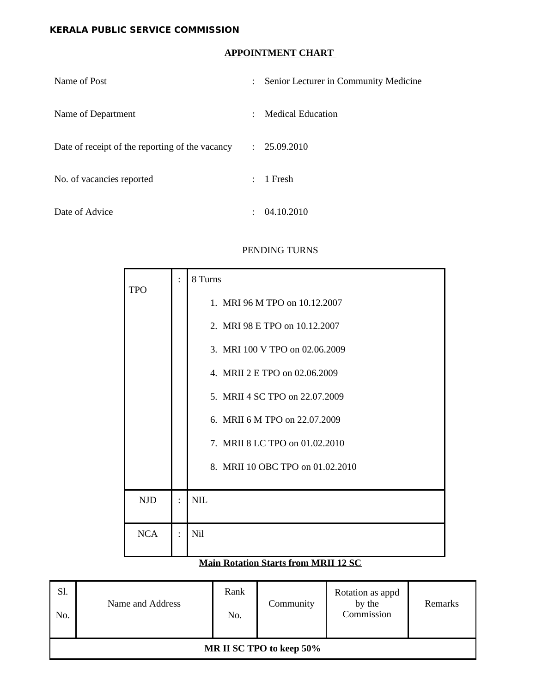# **KERALA PUBLIC SERVICE COMMISSION**

# **APPOINTMENT CHART**

| Name of Post                                    | Senior Lecturer in Community Medicine<br>$\mathcal{L}$ |
|-------------------------------------------------|--------------------------------------------------------|
| Name of Department                              | Medical Education<br>$\mathcal{L}$                     |
| Date of receipt of the reporting of the vacancy | : 25.09.2010                                           |
| No. of vacancies reported                       | 1 Fresh<br>$\mathbb{R}^{\mathbb{Z}}$                   |
| Date of Advice                                  | 04.10.2010                                             |

#### PENDING TURNS

| <b>TPO</b> |           | 8 Turns                          |
|------------|-----------|----------------------------------|
|            |           | 1. MRI 96 M TPO on 10.12.2007    |
|            |           | 2. MRI 98 E TPO on 10.12.2007    |
|            |           | 3. MRI 100 V TPO on 02.06.2009   |
|            |           | 4. MRII 2 E TPO on 02.06.2009    |
|            |           | 5. MRII 4 SC TPO on 22.07.2009   |
|            |           | 6. MRII 6 M TPO on 22.07.2009    |
|            |           | 7. MRII 8 LC TPO on 01.02.2010   |
|            |           | 8. MRII 10 OBC TPO on 01.02.2010 |
|            |           |                                  |
| <b>NJD</b> | $\bullet$ | <b>NIL</b>                       |
| <b>NCA</b> | $\bullet$ | Nil                              |
|            |           |                                  |

# **Main Rotation Starts from MRII 12 SC**

| Sl.<br>No. | Name and Address | Rank<br>No. | Community                | Rotation as appd<br>by the<br>Commission | Remarks |
|------------|------------------|-------------|--------------------------|------------------------------------------|---------|
|            |                  |             | MR II SC TPO to keep 50% |                                          |         |